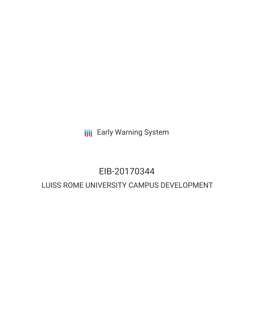**III** Early Warning System

### EIB-20170344

### LUISS ROME UNIVERSITY CAMPUS DEVELOPMENT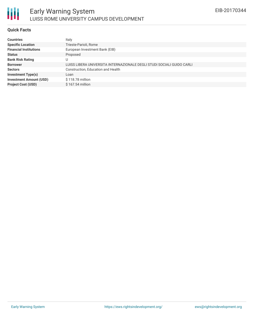

#### **Quick Facts**

朋

| Italy                                                                  |
|------------------------------------------------------------------------|
| Trieste-Parioli, Rome                                                  |
| European Investment Bank (EIB)                                         |
| Proposed                                                               |
| U                                                                      |
| LUISS LIBERA UNIVERSITA INTERNAZIONALE DEGLI STUDI SOCIALI GUIDO CARLI |
| Construction, Education and Health                                     |
| Loan                                                                   |
| \$118.78 million                                                       |
| \$167.54 million                                                       |
|                                                                        |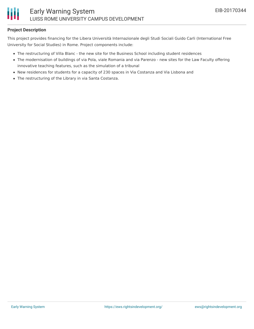#### **Project Description**

This project provides financing for the Libera Università Internazionale degli Studi Sociali Guido Carli (International Free University for Social Studies) in Rome. Project components include:

- The restructuring of Villa Blanc the new site for the Business School including student residences
- The modernisation of buildings of via Pola, viale Romania and via Parenzo new sites for the Law Faculty offering innovative teaching features, such as the simulation of a tribunal
- New residences for students for a capacity of 230 spaces in Via Costanza and Via Lisbona and
- The restructuring of the Library in via Santa Costanza.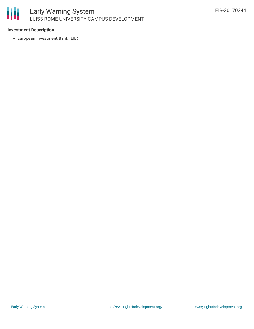# 冊

#### **Investment Description**

European Investment Bank (EIB)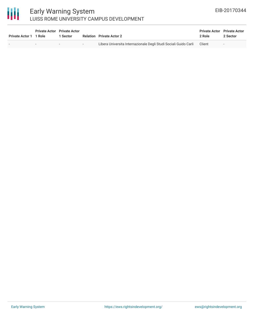## 冊

#### Early Warning System LUISS ROME UNIVERSITY CAMPUS DEVELOPMENT

| Private Actor 1 1 Role | <b>Private Actor</b> Private Actor<br>1 Sector |                          | <b>Relation</b> Private Actor 2                                  | <b>Private Actor</b> Private Actor<br>2 Role | 2 Sector                 |
|------------------------|------------------------------------------------|--------------------------|------------------------------------------------------------------|----------------------------------------------|--------------------------|
|                        | $\sim$                                         | $\overline{\phantom{0}}$ | Libera Universita Internazionale Degli Studi Sociali Guido Carli | Client                                       | $\overline{\phantom{a}}$ |